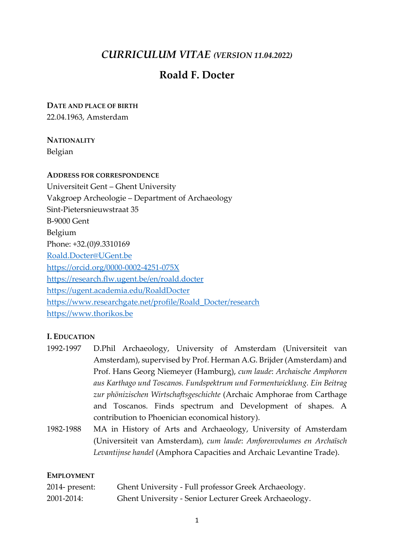# *CURRICULUM VITAE (VERSION 11.04.2022)*

# **Roald F. Docter**

**DATE AND PLACE OF BIRTH**

22.04.1963, Amsterdam

**NATIONALITY** Belgian

**ADDRESS FOR CORRESPONDENCE** Universiteit Gent – Ghent University Vakgroep Archeologie – Department of Archaeology Sint-Pietersnieuwstraat 35 B-9000 Gent Belgium Phone: +32.(0)9.3310169 [Roald.Docter@UGent.be](mailto:Roald.Docter@UGent.be) <https://orcid.org/0000-0002-4251-075X> <https://research.flw.ugent.be/en/roald.docter> <https://ugent.academia.edu/RoaldDocter> [https://www.researchgate.net/profile/Roald\\_Docter/research](https://www.researchgate.net/profile/Roald_Docter/research) [https://www.thorikos.be](https://www.thorikos.be/)

# **I. EDUCATION**

- 1992-1997 D.Phil Archaeology, University of Amsterdam (Universiteit van Amsterdam), supervised by Prof. Herman A.G. Brijder (Amsterdam) and Prof. Hans Georg Niemeyer (Hamburg), *cum laude*: *Archaische Amphoren aus Karthago und Toscanos. Fundspektrum und Formentwicklung. Ein Beitrag zur phönizischen Wirtschaftsgeschichte* (Archaic Amphorae from Carthage and Toscanos. Finds spectrum and Development of shapes. A contribution to Phoenician economical history).
- 1982-1988 MA in History of Arts and Archaeology, University of Amsterdam (Universiteit van Amsterdam), *cum laude*: *Amforenvolumes en Archaïsch Levantijnse handel* (Amphora Capacities and Archaic Levantine Trade).

#### **EMPLOYMENT**

| $2014$ - present: | Ghent University - Full professor Greek Archaeology.  |
|-------------------|-------------------------------------------------------|
| 2001-2014:        | Ghent University - Senior Lecturer Greek Archaeology. |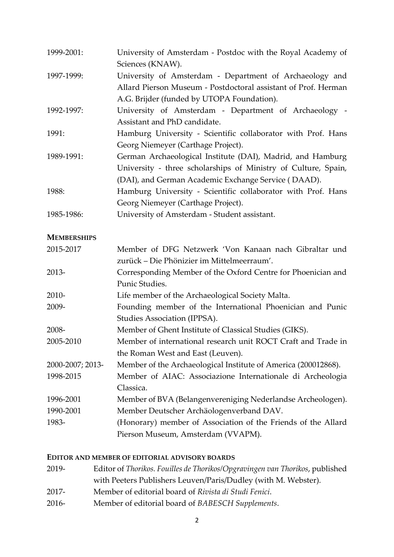| 1999-2001:         | University of Amsterdam - Postdoc with the Royal Academy of<br>Sciences (KNAW).                                                                                                     |
|--------------------|-------------------------------------------------------------------------------------------------------------------------------------------------------------------------------------|
| 1997-1999:         | University of Amsterdam - Department of Archaeology and<br>Allard Pierson Museum - Postdoctoral assistant of Prof. Herman<br>A.G. Brijder (funded by UTOPA Foundation).             |
| 1992-1997:         | University of Amsterdam - Department of Archaeology -<br>Assistant and PhD candidate.                                                                                               |
| 1991:              | Hamburg University - Scientific collaborator with Prof. Hans<br>Georg Niemeyer (Carthage Project).                                                                                  |
| 1989-1991:         | German Archaeological Institute (DAI), Madrid, and Hamburg<br>University - three scholarships of Ministry of Culture, Spain,<br>(DAI), and German Academic Exchange Service (DAAD). |
| 1988:              | Hamburg University - Scientific collaborator with Prof. Hans<br>Georg Niemeyer (Carthage Project).                                                                                  |
| 1985-1986:         | University of Amsterdam - Student assistant.                                                                                                                                        |
| <b>MEMBERSHIPS</b> |                                                                                                                                                                                     |
| 2015-2017          | Member of DFG Netzwerk 'Von Kanaan nach Gibraltar und<br>zurück - Die Phönizier im Mittelmeerraum'.                                                                                 |
| 2013-              | Corresponding Member of the Oxford Centre for Phoenician and<br>Punic Studies.                                                                                                      |
| $2010-$            | Life member of the Archaeological Society Malta.                                                                                                                                    |
| 2009-              | Founding member of the International Phoenician and Punic<br>Studies Association (IPPSA).                                                                                           |
| 2008-              | Member of Ghent Institute of Classical Studies (GIKS).                                                                                                                              |
| 2005-2010          | Member of international research unit ROCT Craft and Trade in<br>the Roman West and East (Leuven).                                                                                  |
| 2000-2007; 2013-   | Member of the Archaeological Institute of America (200012868).                                                                                                                      |
| 1998-2015          | Member of AIAC: Associazione Internationale di Archeologia<br>Classica.                                                                                                             |
| 1996-2001          | Member of BVA (Belangenvereniging Nederlandse Archeologen).                                                                                                                         |
| 1990-2001          | Member Deutscher Archäologenverband DAV.                                                                                                                                            |
| 1983-              | (Honorary) member of Association of the Friends of the Allard<br>Pierson Museum, Amsterdam (VVAPM).                                                                                 |

#### **EDITOR AND MEMBER OF EDITORIAL ADVISORY BOARDS**

- 2019- Editor of *Thorikos. Fouilles de Thorikos/Opgravingen van Thorikos*, published with Peeters Publishers Leuven/Paris/Dudley (with M. Webster). 2017- Member of editorial board of *Rivista di Studi Fenici*.
- 2016- Member of editorial board of *BABESCH Supplements*.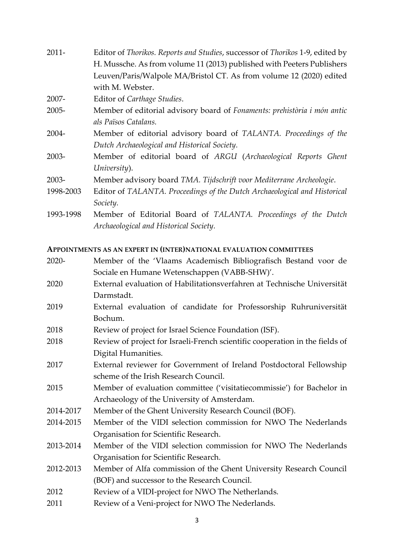| $2011 -$ | Editor of Thorikos. Reports and Studies, successor of Thorikos 1-9, edited by |
|----------|-------------------------------------------------------------------------------|
|          | H. Mussche. As from volume 11 (2013) published with Peeters Publishers        |
|          | Leuven/Paris/Walpole MA/Bristol CT. As from volume 12 (2020) edited           |
|          | with M. Webster.                                                              |
| 2007-    | Editor of Carthage Studies.                                                   |
| $2005 -$ | Member of editorial advisory board of Fonaments: prehistòria i món antic      |
|          | als Països Catalans.                                                          |
| $2004 -$ | Member of editorial advisory board of TALANTA. Proceedings of the             |
|          | Dutch Archaeological and Historical Society.                                  |
| 2003-    | Member of editorial board of ARGU (Archaeological Reports Ghent               |
|          | University).                                                                  |
| $2003 -$ | Member advisory board TMA. Tijdschrift voor Mediterrane Archeologie.          |
|          |                                                                               |

- 1998-2003 Editor of *TALANTA. Proceedings of the Dutch Archaeological and Historical Society.*
- 1993-1998 Member of Editorial Board of *TALANTA. Proceedings of the Dutch Archaeological and Historical Society.*

#### **APPOINTMENTS AS AN EXPERT IN (INTER)NATIONAL EVALUATION COMMITTEES**

| $2020 -$  | Member of the 'Vlaams Academisch Bibliografisch Bestand voor de              |
|-----------|------------------------------------------------------------------------------|
|           | Sociale en Humane Wetenschappen (VABB-SHW)'.                                 |
| 2020      | External evaluation of Habilitationsverfahren at Technische Universität      |
|           | Darmstadt.                                                                   |
| 2019      | External evaluation of candidate for Professorship Ruhruniversität           |
|           | Bochum.                                                                      |
| 2018      | Review of project for Israel Science Foundation (ISF).                       |
| 2018      | Review of project for Israeli-French scientific cooperation in the fields of |
|           | Digital Humanities.                                                          |
| 2017      | External reviewer for Government of Ireland Postdoctoral Fellowship          |
|           | scheme of the Irish Research Council.                                        |
| 2015      | Member of evaluation committee ('visitatiecommissie') for Bachelor in        |
|           | Archaeology of the University of Amsterdam.                                  |
| 2014-2017 | Member of the Ghent University Research Council (BOF).                       |
| 2014-2015 | Member of the VIDI selection commission for NWO The Nederlands               |
|           | Organisation for Scientific Research.                                        |
| 2013-2014 | Member of the VIDI selection commission for NWO The Nederlands               |
|           | Organisation for Scientific Research.                                        |
| 2012-2013 | Member of Alfa commission of the Ghent University Research Council           |
|           | (BOF) and successor to the Research Council.                                 |
| 2012      | Review of a VIDI-project for NWO The Netherlands.                            |
| 2011      | Review of a Veni-project for NWO The Nederlands.                             |
|           |                                                                              |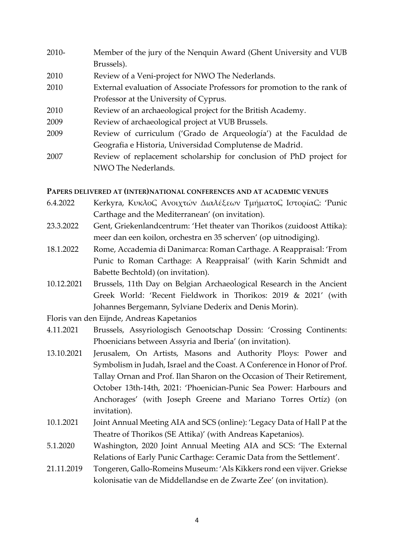- 2010- Member of the jury of the Nenquin Award (Ghent University and VUB Brussels). 2010 Review of a Veni-project for NWO The Nederlands. 2010 External evaluation of Associate Professors for promotion to the rank of Professor at the University of Cyprus. 2010 Review of an archaeological project for the British Academy. 2009 Review of archaeological project at VUB Brussels. 2009 Review of curriculum ('Grado de Arqueología') at the Faculdad de Geografia e Historia, Universidad Complutense de Madrid.
- 2007 Review of replacement scholarship for conclusion of PhD project for NWO The Nederlands.

### **PAPERS DELIVERED AT (INTER)NATIONAL CONFERENCES AND AT ACADEMIC VENUES**

- 6.4.2022 Kerkyra, Κυκλοζ Ανοιχτών Διαλέξεων Τμήματοζ Ιστορίαζ: 'Punic Carthage and the Mediterranean' (on invitation).
- 23.3.2022 Gent, Griekenlandcentrum: 'Het theater van Thorikos (zuidoost Attika): meer dan een koilon, orchestra en 35 scherven' (op uitnodiging).
- 18.1.2022 Rome, Accademia di Danimarca: Roman Carthage. A Reappraisal: 'From Punic to Roman Carthage: A Reappraisal' (with Karin Schmidt and Babette Bechtold) (on invitation).
- 10.12.2021 Brussels, 11th Day on Belgian Archaeological Research in the Ancient Greek World: 'Recent Fieldwork in Thorikos: 2019 & 2021' (with Johannes Bergemann, Sylviane Dederix and Denis Morin).

Floris van den Eijnde, Andreas Kapetanios

- 4.11.2021 Brussels, Assyriologisch Genootschap Dossin: 'Crossing Continents: Phoenicians between Assyria and Iberia' (on invitation).
- 13.10.2021 Jerusalem, On Artists, Masons and Authority Ploys: Power and Symbolism in Judah, Israel and the Coast. A Conference in Honor of Prof. Tallay Ornan and Prof. Ilan Sharon on the Occasion of Their Retirement, October 13th-14th, 2021: 'Phoenician-Punic Sea Power: Harbours and Anchorages' (with Joseph Greene and Mariano Torres Ortíz) (on invitation).
- 10.1.2021 Joint Annual Meeting AIA and SCS (online): 'Legacy Data of Hall P at the Theatre of Thorikos (SE Attika)' (with Andreas Kapetanios).
- 5.1.2020 Washington, 2020 Joint Annual Meeting AIA and SCS: 'The External Relations of Early Punic Carthage: Ceramic Data from the Settlement'.
- 21.11.2019 Tongeren, Gallo-Romeins Museum: 'Als Kikkers rond een vijver. Griekse kolonisatie van de Middellandse en de Zwarte Zee' (on invitation).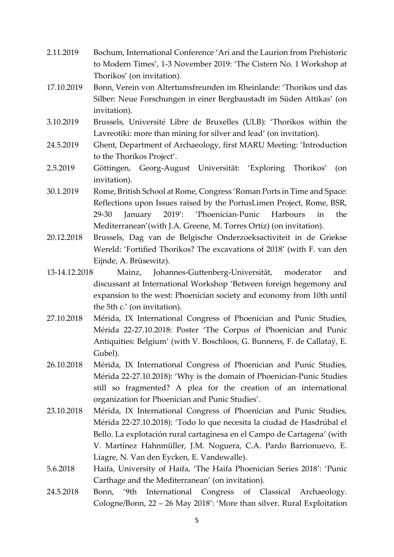- 2.11.2019 Bochum, International Conference 'Ari and the Laurion from Prehistoric to Modern Times', 1-3 November 2019: 'The Cistern No. 1 Workshop at Thorikos' (on invitation).
- 17.10.2019 Bonn, Verein von Altertumsfreunden im Rheinlande: 'Thorikos und das Silber: Neue Forschungen in einer Bergbaustadt im Süden Attikas' (on invitation).
- 3.10.2019 Brussels, Université Libre de Bruxelles (ULB): 'Thorikos within the Lavreotiki: more than mining for silver and lead' (on invitation).
- 24.5.2019 Ghent, Department of Archaeology, first MARU Meeting: 'Introduction to the Thorikos Project'.
- 2.5.2019 Göttingen, Georg-August Universität: 'Exploring Thorikos' (on invitation).
- 30.1.2019 Rome, British School at Rome, Congress 'Roman Ports in Time and Space: Reflections upon Issues raised by the PortusLimen Project, Rome, BSR, 29-30 January 2019': 'Phoenician-Punic Harbours in the Mediterranean'(with J.A. Greene, M. Torres Ortíz) (on invitation).
- 20.12.2018 Brussels, Dag van de Belgische Onderzoeksactiviteit in de Griekse Wereld: 'Fortified Thorikos? The excavations of 2018' (with F. van den Eijnde, A. Brüsewitz).
- 13-14.12.2018 Mainz, Johannes-Guttenberg-Universität, moderator and discussant at International Workshop 'Between foreign hegemony and expansion to the west: Phoenician society and economy from 10th until the 5th c.' (on invitation).
- 27.10.2018 Mérida, IX International Congress of Phoenician and Punic Studies, Mérida 22-27.10.2018: Poster 'The Corpus of Phoenician and Punic Antiquities: Belgium' (with V. Boschloos, G. Bunnens, F. de Callataÿ, E. Gubel).
- 26.10.2018 Mérida, IX International Congress of Phoenician and Punic Studies, Mérida 22-27.10.2018): 'Why is the domain of Phoenician-Punic Studies still so fragmented? A plea for the creation of an international organization for Phoenician and Punic Studies'.
- 23.10.2018 Mérida, IX International Congress of Phoenician and Punic Studies, Mérida 22-27.10.2018): 'Todo lo que necesita la ciudad de Hasdrúbal el Bello. La explotación rural cartaginesa en el Campo de Cartagena' (with V. Martínez Hahnmüller, J.M. Noguera, C.A. Pardo Barrionuevo, E. Liagre, N. Van den Eycken, E. Vandewalle).
- 5.6.2018 Haifa, University of Haifa, 'The Haifa Phoenician Series 2018': 'Punic Carthage and the Mediterranean' (on invitation).
- 24.5.2018 Bonn, '9th International Congress of Classical Archaeology. Cologne/Bonn, 22 – 26 May 2018': 'More than silver. Rural Exploitation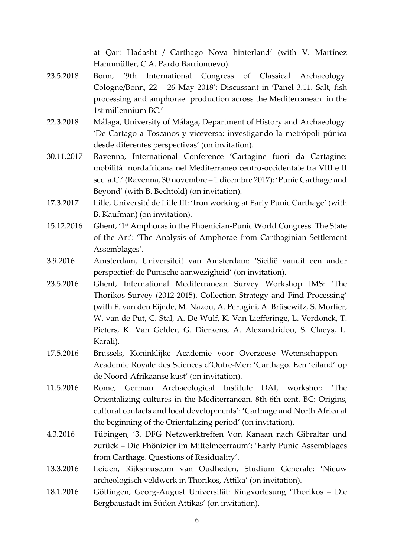at Qart Hadasht / Carthago Nova hinterland' (with V. Martínez Hahnmüller, C.A. Pardo Barrionuevo).

- 23.5.2018 Bonn, '9th International Congress of Classical Archaeology. Cologne/Bonn, 22 – 26 May 2018': Discussant in 'Panel 3.11. Salt, fish processing and amphorae production across the Mediterranean in the 1st millennium BC.'
- 22.3.2018 Málaga, University of Málaga, Department of History and Archaeology: 'De Cartago a Toscanos y viceversa: investigando la metrópoli púnica desde diferentes perspectivas' (on invitation).
- 30.11.2017 Ravenna, International Conference 'Cartagine fuori da Cartagine: mobilità nordafricana nel Mediterraneo centro-occidentale fra VIII e II sec. a.C.' (Ravenna, 30 novembre – 1 dicembre 2017): 'Punic Carthage and Beyond' (with B. Bechtold) (on invitation).
- 17.3.2017 Lille, Université de Lille III: 'Iron working at Early Punic Carthage' (with B. Kaufman) (on invitation).
- 15.12.2016 Ghent, '1st Amphoras in the Phoenician-Punic World Congress. The State of the Art': 'The Analysis of Amphorae from Carthaginian Settlement Assemblages'.
- 3.9.2016 Amsterdam, Universiteit van Amsterdam: 'Sicilië vanuit een ander perspectief: de Punische aanwezigheid' (on invitation).
- 23.5.2016 Ghent, International Mediterranean Survey Workshop IMS: 'The Thorikos Survey (2012-2015). Collection Strategy and Find Processing' (with F. van den Eijnde, M. Nazou, A. Perugini, A. Brüsewitz, S. Mortier, W. van de Put, C. Stal, A. De Wulf, K. Van Liefferinge, L. Verdonck, T. Pieters, K. Van Gelder, G. Dierkens, A. Alexandridou, S. Claeys, L. Karali).
- 17.5.2016 Brussels, Koninklijke Academie voor Overzeese Wetenschappen Academie Royale des Sciences d'Outre-Mer: 'Carthago. Een 'eiland' op de Noord-Afrikaanse kust' (on invitation).
- 11.5.2016 Rome, German Archaeological Institute DAI, workshop 'The Orientalizing cultures in the Mediterranean, 8th-6th cent. BC: Origins, cultural contacts and local developments': 'Carthage and North Africa at the beginning of the Orientalizing period' (on invitation).
- 4.3.2016 Tübingen, '3. DFG Netzwerktreffen Von Kanaan nach Gibraltar und zurück – Die Phönizier im Mittelmeerraum': 'Early Punic Assemblages from Carthage. Questions of Residuality'.
- 13.3.2016 Leiden, Rijksmuseum van Oudheden, Studium Generale: 'Nieuw archeologisch veldwerk in Thorikos, Attika' (on invitation).
- 18.1.2016 Göttingen, Georg-August Universität: Ringvorlesung 'Thorikos Die Bergbaustadt im Süden Attikas' (on invitation).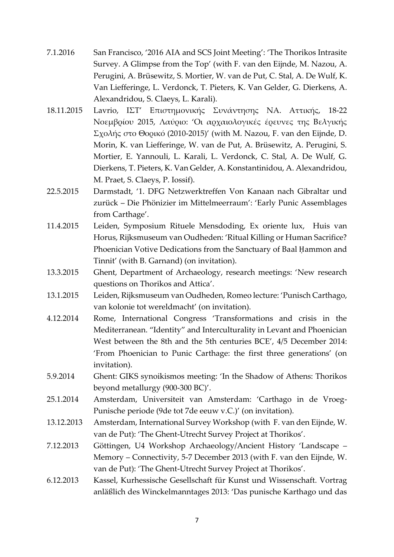- 7.1.2016 San Francisco, '2016 AIA and SCS Joint Meeting': 'The Thorikos Intrasite Survey. A Glimpse from the Top' (with F. van den Eijnde, M. Nazou, A. Perugini, A. Brüsewitz, S. Mortier, W. van de Put, C. Stal, A. De Wulf, K. Van Liefferinge, L. Verdonck, T. Pieters, K. Van Gelder, G. Dierkens, A. Alexandridou, S. Claeys, L. Karali).
- 18.11.2015 Lavrio, IΣΤ' Επιστημονικής Συνάντησης ΝΑ. Αττικής, 18-22 Νοεμβρίου 2015, Λαύριο: 'Οι αρχαιολογικές έρευνες της Βελγικής Σχολής στο Θορικό (2010-2015)' (with M. Nazou, F. van den Eijnde, D. Morin, K. van Liefferinge, W. van de Put, A. Brüsewitz, A. Perugini, S. Mortier, E. Yannouli, L. Karali, L. Verdonck, C. Stal, A. De Wulf, G. Dierkens, T. Pieters, K. Van Gelder, A. Konstantinidou, A. Alexandridou, M. Praet, S. Claeys, P. Iossif).
- 22.5.2015 Darmstadt, '1. DFG Netzwerktreffen Von Kanaan nach Gibraltar und zurück – Die Phönizier im Mittelmeerraum': 'Early Punic Assemblages from Carthage'.
- 11.4.2015 Leiden, Symposium Rituele Mensdoding, Ex oriente lux, Huis van Horus, Rijksmuseum van Oudheden: 'Ritual Killing or Human Sacrifice? Phoenician Votive Dedications from the Sanctuary of Baal Ḥammon and Tinnit' (with B. Garnand) (on invitation).
- 13.3.2015 Ghent, Department of Archaeology, research meetings: 'New research questions on Thorikos and Attica'.
- 13.1.2015 Leiden, Rijksmuseum van Oudheden, Romeo lecture: 'Punisch Carthago, van kolonie tot wereldmacht' (on invitation).
- 4.12.2014 Rome, International Congress 'Transformations and crisis in the Mediterranean. "Identity" and Interculturality in Levant and Phoenician West between the 8th and the 5th centuries BCE', 4/5 December 2014: 'From Phoenician to Punic Carthage: the first three generations' (on invitation).
- 5.9.2014 Ghent: GIKS synoikismos meeting: 'In the Shadow of Athens: Thorikos beyond metallurgy (900-300 BC)'.
- 25.1.2014 Amsterdam, Universiteit van Amsterdam: 'Carthago in de Vroeg-Punische periode (9de tot 7de eeuw v.C.)' (on invitation).
- 13.12.2013 Amsterdam, International Survey Workshop (with F. van den Eijnde, W. van de Put): 'The Ghent-Utrecht Survey Project at Thorikos'.
- 7.12.2013 Göttingen, U4 Workshop Archaeology/Ancient History 'Landscape Memory – Connectivity, 5-7 December 2013 (with F. van den Eijnde, W. van de Put): 'The Ghent-Utrecht Survey Project at Thorikos'.
- 6.12.2013 Kassel, Kurhessische Gesellschaft für Kunst und Wissenschaft. Vortrag anläßlich des Winckelmanntages 2013: 'Das punische Karthago und das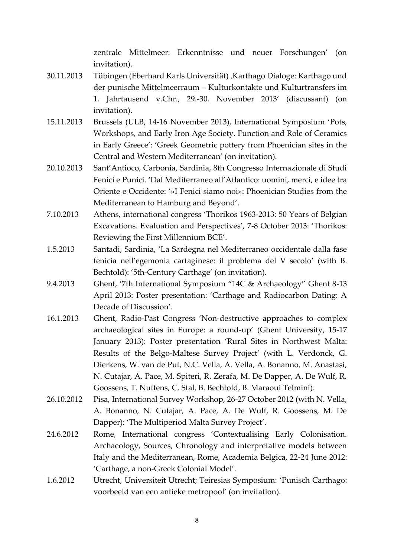zentrale Mittelmeer: Erkenntnisse und neuer Forschungen' (on invitation).

- 30.11.2013 Tübingen (Eberhard Karls Universität) 'Karthago Dialoge: Karthago und der punische Mittelmeerraum – Kulturkontakte und Kulturtransfers im 1. Jahrtausend v.Chr., 29.-30. November 2013' (discussant) (on invitation).
- 15.11.2013 Brussels (ULB, 14-16 November 2013), International Symposium 'Pots, Workshops, and Early Iron Age Society. Function and Role of Ceramics in Early Greece': 'Greek Geometric pottery from Phoenician sites in the Central and Western Mediterranean' (on invitation).
- 20.10.2013 Sant'Antioco, Carbonia, Sardinia, 8th Congresso Internazionale di Studi Fenici e Punici. 'Dal Mediterraneo all'Atlantico: uomini, merci, e idee tra Oriente e Occidente: '»I Fenici siamo noi»: Phoenician Studies from the Mediterranean to Hamburg and Beyond'.
- 7.10.2013 Athens, international congress 'Thorikos 1963-2013: 50 Years of Belgian Excavations. Evaluation and Perspectives', 7-8 October 2013: 'Thorikos: Reviewing the First Millennium BCE'.
- 1.5.2013 Santadi, Sardinia, 'La Sardegna nel Mediterraneo occidentale dalla fase fenicia nell'egemonia cartaginese: il problema del V secolo' (with B. Bechtold): '5th-Century Carthage' (on invitation).
- 9.4.2013 Ghent, '7th International Symposium "14C & Archaeology" Ghent 8-13 April 2013: Poster presentation: 'Carthage and Radiocarbon Dating: A Decade of Discussion'.
- 16.1.2013 Ghent, Radio-Past Congress 'Non-destructive approaches to complex archaeological sites in Europe: a round-up' (Ghent University, 15-17 January 2013): Poster presentation 'Rural Sites in Northwest Malta: Results of the Belgo-Maltese Survey Project' (with L. Verdonck, G. Dierkens, W. van de Put, N.C. Vella, A. Vella, A. Bonanno, M. Anastasi, N. Cutajar, A. Pace, M. Spiteri, R. Zerafa, M. De Dapper, A. De Wulf, R. Goossens, T. Nuttens, C. Stal, B. Bechtold, B. Maraoui Telmini).
- 26.10.2012 Pisa, International Survey Workshop, 26-27 October 2012 (with N. Vella, A. Bonanno, N. Cutajar, A. Pace, A. De Wulf, R. Goossens, M. De Dapper): 'The Multiperiod Malta Survey Project'.
- 24.6.2012 Rome, International congress 'Contextualising Early Colonisation. Archaeology, Sources, Chronology and interpretative models between Italy and the Mediterranean, Rome, Academia Belgica, 22-24 June 2012: 'Carthage, a non-Greek Colonial Model'.
- 1.6.2012 Utrecht, Universiteit Utrecht; Teiresias Symposium: 'Punisch Carthago: voorbeeld van een antieke metropool' (on invitation).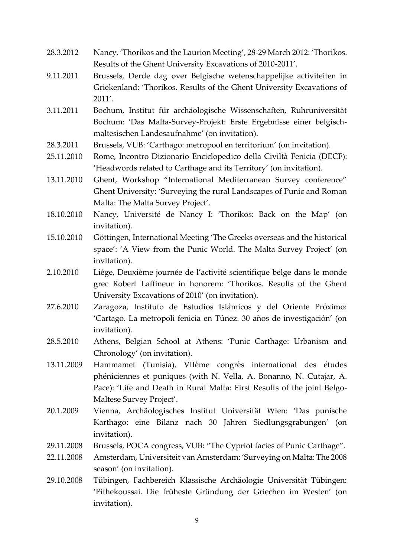- 28.3.2012 Nancy, 'Thorikos and the Laurion Meeting', 28-29 March 2012: 'Thorikos. Results of the Ghent University Excavations of 2010-2011'.
- 9.11.2011 Brussels, Derde dag over Belgische wetenschappelijke activiteiten in Griekenland: 'Thorikos. Results of the Ghent University Excavations of 2011'.
- 3.11.2011 Bochum, Institut für archäologische Wissenschaften, Ruhruniversität Bochum: 'Das Malta-Survey-Projekt: Erste Ergebnisse einer belgischmaltesischen Landesaufnahme' (on invitation).
- 28.3.2011 Brussels, VUB: 'Carthago: metropool en territorium' (on invitation).
- 25.11.2010 Rome, Incontro Dizionario Enciclopedico della Civiltà Fenicia (DECF): 'Headwords related to Carthage and its Territory' (on invitation).
- 13.11.2010 Ghent, Workshop "International Mediterranean Survey conference" Ghent University: 'Surveying the rural Landscapes of Punic and Roman Malta: The Malta Survey Project'.
- 18.10.2010 Nancy, Université de Nancy I: 'Thorikos: Back on the Map' (on invitation).
- 15.10.2010 Göttingen, International Meeting 'The Greeks overseas and the historical space': 'A View from the Punic World. The Malta Survey Project' (on invitation).
- 2.10.2010 Liège, Deuxième journée de l'activité scientifique belge dans le monde grec Robert Laffineur in honorem: 'Thorikos. Results of the Ghent University Excavations of 2010' (on invitation).
- 27.6.2010 Zaragoza, Instituto de Estudios Islámicos y del Oriente Próximo: 'Cartago. La metropoli fenicia en Túnez. 30 años de investigación' (on invitation).
- 28.5.2010 Athens, Belgian School at Athens: 'Punic Carthage: Urbanism and Chronology' (on invitation).
- 13.11.2009 Hammamet (Tunisia), VIIème congrès international des études phéniciennes et puniques (with N. Vella, A. Bonanno, N. Cutajar, A. Pace): 'Life and Death in Rural Malta: First Results of the joint Belgo-Maltese Survey Project'.
- 20.1.2009 Vienna, Archäologisches Institut Universität Wien: 'Das punische Karthago: eine Bilanz nach 30 Jahren Siedlungsgrabungen' (on invitation).
- 29.11.2008 Brussels, POCA congress, VUB: "The Cypriot facies of Punic Carthage".
- 22.11.2008 Amsterdam, Universiteit van Amsterdam: 'Surveying on Malta: The 2008 season' (on invitation).
- 29.10.2008 Tübingen, Fachbereich Klassische Archäologie Universität Tübingen: 'Pithekoussai. Die früheste Gründung der Griechen im Westen' (on invitation).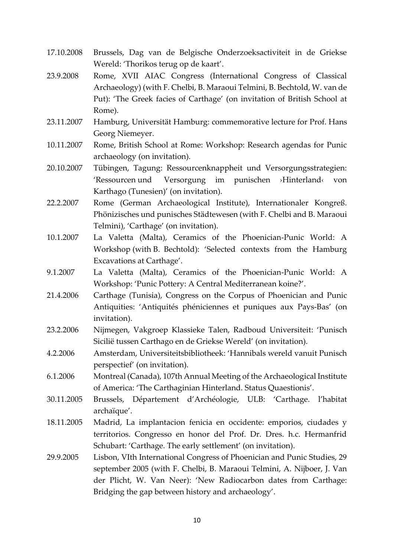- 17.10.2008 Brussels, Dag van de Belgische Onderzoeksactiviteit in de Griekse Wereld: 'Thorikos terug op de kaart'.
- 23.9.2008 Rome, XVII AIAC Congress (International Congress of Classical Archaeology) (with F. Chelbi, B. Maraoui Telmini, B. Bechtold, W. van de Put): 'The Greek facies of Carthage' (on invitation of British School at Rome).
- 23.11.2007 Hamburg, Universität Hamburg: commemorative lecture for Prof. Hans Georg Niemeyer.
- 10.11.2007 Rome, British School at Rome: Workshop: Research agendas for Punic archaeology (on invitation).
- 20.10.2007 Tübingen, Tagung: Ressourcenknappheit und Versorgungsstrategien: 'Ressourcen und Versorgung im punischen ›Hinterland‹ von Karthago (Tunesien)' (on invitation).
- 22.2.2007 Rome (German Archaeological Institute), Internationaler Kongreß. Phönizisches und punisches Städtewesen (with F. Chelbi and B. Maraoui Telmini), 'Carthage' (on invitation).
- 10.1.2007 La Valetta (Malta), Ceramics of the Phoenician-Punic World: A Workshop (with B. Bechtold): 'Selected contexts from the Hamburg Excavations at Carthage'.
- 9.1.2007 La Valetta (Malta), Ceramics of the Phoenician-Punic World: A Workshop: 'Punic Pottery: A Central Mediterranean koine?'.
- 21.4.2006 Carthage (Tunisia), Congress on the Corpus of Phoenician and Punic Antiquities: 'Antiquités phéniciennes et puniques aux Pays-Bas' (on invitation).
- 23.2.2006 Nijmegen, Vakgroep Klassieke Talen, Radboud Universiteit: 'Punisch Sicilië tussen Carthago en de Griekse Wereld' (on invitation).
- 4.2.2006 Amsterdam, Universiteitsbibliotheek: 'Hannibals wereld vanuit Punisch perspectief' (on invitation).
- 6.1.2006 Montreal (Canada), 107th Annual Meeting of the Archaeological Institute of America: 'The Carthaginian Hinterland. Status Quaestionis'.
- 30.11.2005 Brussels, Département d'Archéologie, ULB: 'Carthage. l'habitat archaïque'.
- 18.11.2005 Madrid, La implantacion fenicia en occidente: emporios, ciudades y territorios. Congresso en honor del Prof. Dr. Dres. h.c. Hermanfrid Schubart: 'Carthage. The early settlement' (on invitation).
- 29.9.2005 Lisbon, VIth International Congress of Phoenician and Punic Studies, 29 september 2005 (with F. Chelbi, B. Maraoui Telmini, A. Nijboer, J. Van der Plicht, W. Van Neer): 'New Radiocarbon dates from Carthage: Bridging the gap between history and archaeology'.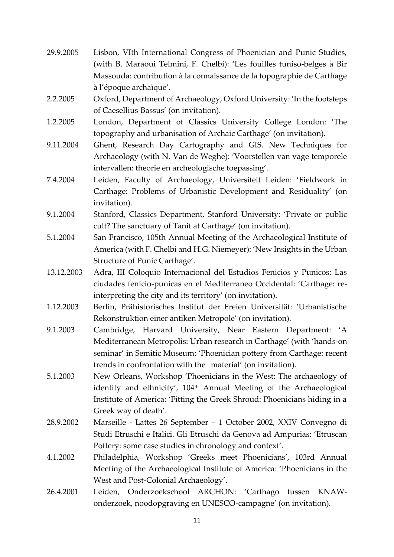- 29.9.2005 Lisbon, VIth International Congress of Phoenician and Punic Studies, (with B. Maraoui Telmini, F. Chelbi): 'Les fouilles tuniso-belges à Bir Massouda: contribution à la connaissance de la topographie de Carthage à l'époque archaïque'.
- 2.2.2005 Oxford, Department of Archaeology, Oxford University: 'In the footsteps of Caesellius Bassus' (on invitation).
- 1.2.2005 London, Department of Classics University College London: 'The topography and urbanisation of Archaic Carthage' (on invitation).
- 9.11.2004 Ghent, Research Day Cartography and GIS. New Techniques for Archaeology (with N. Van de Weghe): 'Voorstellen van vage temporele intervallen: theorie en archeologische toepassing'.
- 7.4.2004 Leiden, Faculty of Archaeology, Universiteit Leiden: 'Fieldwork in Carthage: Problems of Urbanistic Development and Residuality' (on invitation).
- 9.1.2004 Stanford, Classics Department, Stanford University: 'Private or public cult? The sanctuary of Tanit at Carthage' (on invitation).
- 5.1.2004 San Francisco, 105th Annual Meeting of the Archaeological Institute of America (with F. Chelbi and H.G. Niemeyer): 'New Insights in the Urban Structure of Punic Carthage'.
- 13.12.2003 Adra, III Coloquio Internacional del Estudios Fenicios y Punicos: Las ciudades fenicio-punicas en el Mediterraneo Occidental: 'Carthage: reinterpreting the city and its territory' (on invitation).
- 1.12.2003 Berlin, Prähistorisches Institut der Freien Universität: 'Urbanistische Rekonstruktion einer antiken Metropole' (on invitation).
- 9.1.2003 Cambridge, Harvard University, Near Eastern Department: 'A Mediterranean Metropolis: Urban research in Carthage' (with 'hands-on seminar' in Semitic Museum: 'Phoenician pottery from Carthage: recent trends in confrontation with the material' (on invitation).
- 5.1.2003 New Orleans, Workshop 'Phoenicians in the West: The archaeology of identity and ethnicity', 104<sup>th</sup> Annual Meeting of the Archaeological Institute of America: 'Fitting the Greek Shroud: Phoenicians hiding in a Greek way of death'.
- 28.9.2002 Marseille Lattes 26 September 1 October 2002, XXIV Convegno di Studi Etruschi e Italici. Gli Etruschi da Genova ad Ampurias: 'Etruscan Pottery: some case studies in chronology and context'.
- 4.1.2002 Philadelphia, Workshop 'Greeks meet Phoenicians', 103rd Annual Meeting of the Archaeological Institute of America: 'Phoenicians in the West and Post-Colonial Archaeology'.
- 26.4.2001 Leiden, Onderzoekschool ARCHON: 'Carthago tussen KNAWonderzoek, noodopgraving en UNESCO-campagne' (on invitation).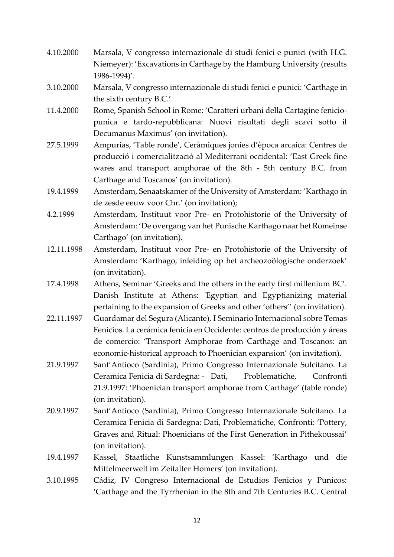- 4.10.2000 Marsala, V congresso internazionale di studi fenici e punici (with H.G. Niemeyer): 'Excavations in Carthage by the Hamburg University (results 1986-1994)'.
- 3.10.2000 Marsala, V congresso internazionale di studi fenici e punici: 'Carthage in the sixth century B.C.'
- 11.4.2000 Rome, Spanish School in Rome: 'Caratteri urbani della Cartagine feniciopunica e tardo-repubblicana: Nuovi risultati degli scavi sotto il Decumanus Maximus' (on invitation).
- 27.5.1999 Ampurias, 'Table ronde', Ceràmiques jonies d'època arcaica: Centres de producció i comercialització al Mediterrani occidental: 'East Greek fine wares and transport amphorae of the 8th - 5th century B.C. from Carthage and Toscanos' (on invitation).
- 19.4.1999 Amsterdam, Senaatskamer of the University of Amsterdam: 'Karthago in de zesde eeuw voor Chr.' (on invitation);
- 4.2.1999 Amsterdam, Instituut voor Pre- en Protohistorie of the University of Amsterdam: 'De overgang van het Punische Karthago naar het Romeinse Carthago' (on invitation).
- 12.11.1998 Amsterdam, Instituut voor Pre- en Protohistorie of the University of Amsterdam: 'Karthago, inleiding op het archeozoölogische onderzoek' (on invitation).
- 17.4.1998 Athens, Seminar 'Greeks and the others in the early first millenium BC'. Danish Institute at Athens: 'Egyptian and Egyptianizing material pertaining to the expansion of Greeks and other 'others'' (on invitation).
- 22.11.1997 Guardamar del Segura (Alicante), I Seminario Internacional sobre Temas Fenicios. La cerámica fenicia en Occidente: centros de producción y áreas de comercio: 'Transport Amphorae from Carthage and Toscanos: an economic-historical approach to Phoenician expansion' (on invitation).
- 21.9.1997 Sant'Antioco (Sardinia), Primo Congresso Internazionale Sulcitano. La Ceramica Fenicia di Sardegna: - Dati, Problematiche, Confronti 21.9.1997: 'Phoenician transport amphorae from Carthage' (table ronde) (on invitation).
- 20.9.1997 Sant'Antioco (Sardinia), Primo Congresso Internazionale Sulcitano. La Ceramica Fenicia di Sardegna: Dati, Problematiche, Confronti: 'Pottery, Graves and Ritual: Phoenicians of the First Generation in Pithekoussai' (on invitation).
- 19.4.1997 Kassel, Staatliche Kunstsammlungen Kassel: 'Karthago und die Mittelmeerwelt im Zeitalter Homers' (on invitation).
- 3.10.1995 Cádiz, IV Congreso Internacional de Estudios Fenicios y Punicos: 'Carthage and the Tyrrhenian in the 8th and 7th Centuries B.C. Central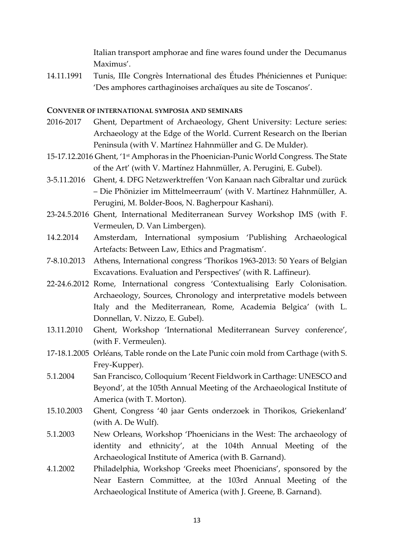Italian transport amphorae and fine wares found under the Decumanus Maximus'.

14.11.1991 Tunis, IIIe Congrès International des Études Phéniciennes et Punique: 'Des amphores carthaginoises archaïques au site de Toscanos'.

#### **CONVENER OF INTERNATIONAL SYMPOSIA AND SEMINARS**

- 2016-2017 Ghent, Department of Archaeology, Ghent University: Lecture series: Archaeology at the Edge of the World. Current Research on the Iberian Peninsula (with V. Martínez Hahnmüller and G. De Mulder).
- 15-17.12.2016 Ghent, '1 st Amphoras in the Phoenician-Punic World Congress. The State of the Art' (with V. Martínez Hahnmüller, A. Perugini, E. Gubel).
- 3-5.11.2016 Ghent, 4. DFG Netzwerktreffen 'Von Kanaan nach Gibraltar und zurück – Die Phönizier im Mittelmeerraum' (with V. Martínez Hahnmüller, A. Perugini, M. Bolder-Boos, N. Bagherpour Kashani).
- 23-24.5.2016 Ghent, International Mediterranean Survey Workshop IMS (with F. Vermeulen, D. Van Limbergen).
- 14.2.2014 Amsterdam, International symposium 'Publishing Archaeological Artefacts: Between Law, Ethics and Pragmatism'.
- 7-8.10.2013 Athens, International congress 'Thorikos 1963-2013: 50 Years of Belgian Excavations. Evaluation and Perspectives' (with R. Laffineur).
- 22-24.6.2012 Rome, International congress 'Contextualising Early Colonisation. Archaeology, Sources, Chronology and interpretative models between Italy and the Mediterranean, Rome, Academia Belgica' (with L. Donnellan, V. Nizzo, E. Gubel).
- 13.11.2010 Ghent, Workshop 'International Mediterranean Survey conference', (with F. Vermeulen).
- 17-18.1.2005 Orléans, Table ronde on the Late Punic coin mold from Carthage (with S. Frey-Kupper).
- 5.1.2004 San Francisco, Colloquium 'Recent Fieldwork in Carthage: UNESCO and Beyond', at the 105th Annual Meeting of the Archaeological Institute of America (with T. Morton).
- 15.10.2003 Ghent, Congress '40 jaar Gents onderzoek in Thorikos, Griekenland' (with A. De Wulf).
- 5.1.2003 New Orleans, Workshop 'Phoenicians in the West: The archaeology of identity and ethnicity', at the 104th Annual Meeting of the Archaeological Institute of America (with B. Garnand).
- 4.1.2002 Philadelphia, Workshop 'Greeks meet Phoenicians', sponsored by the Near Eastern Committee, at the 103rd Annual Meeting of the Archaeological Institute of America (with J. Greene, B. Garnand).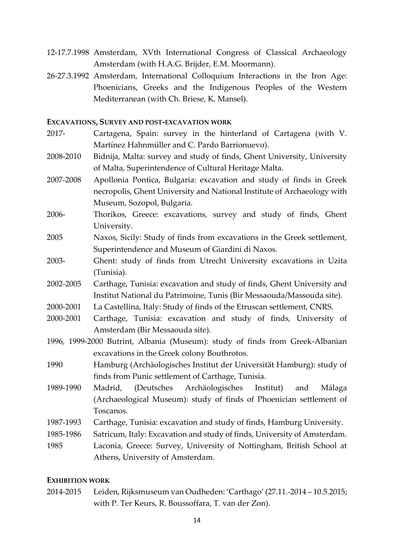- 12-17.7.1998 Amsterdam, XVth International Congress of Classical Archaeology Amsterdam (with H.A.G. Brijder, E.M. Moormann).
- 26-27.3.1992 Amsterdam, International Colloquium Interactions in the Iron Age: Phoenicians, Greeks and the Indigenous Peoples of the Western Mediterranean (with Ch. Briese, K. Mansel).

#### **EXCAVATIONS, SURVEY AND POST-EXCAVATION WORK**

- 2017- Cartagena, Spain: survey in the hinterland of Cartagena (with V. Martínez Hahnmüller and C. Pardo Barrionuevo).
- 2008-2010 Bidnija, Malta: survey and study of finds, Ghent University, University of Malta, Superintendence of Cultural Heritage Malta.
- 2007-2008 Apollonia Pontica, Bulgaria: excavation and study of finds in Greek necropolis, Ghent University and National Institute of Archaeology with Museum, Sozopol, Bulgaria.
- 2006- Thorikos, Greece: excavations, survey and study of finds, Ghent University.
- 2005 Naxos, Sicily: Study of finds from excavations in the Greek settlement, Superintendence and Museum of Giardini di Naxos.
- 2003- Ghent: study of finds from Utrecht University excavations in Uzita (Tunisia).
- 2002-2005 Carthage, Tunisia: excavation and study of finds, Ghent University and Institut National du Patrimoine, Tunis (Bir Messaouda/Massouda site).
- 2000-2001 La Castellina, Italy: Study of finds of the Etruscan settlement, CNRS.
- 2000-2001 Carthage, Tunisia: excavation and study of finds, University of Amsterdam (Bir Messaouda site).
- 1996, 1999-2000 Butrint, Albania (Museum): study of finds from Greek-Albanian excavations in the Greek colony Bouthrotos.
- 1990 Hamburg (Archäologisches Institut der Universität Hamburg): study of finds from Punic settlement of Carthage, Tunisia.
- 1989-1990 Madrid, (Deutsches Archäologisches Institut) and Málaga (Archaeological Museum): study of finds of Phoenician settlement of Toscanos.
- 1987-1993 Carthage, Tunisia: excavation and study of finds, Hamburg University.
- 1985-1986 Satricum, Italy: Excavation and study of finds, University of Amsterdam.
- 1985 Laconia, Greece: Survey, University of Nottingham, British School at Athens, University of Amsterdam.

### **EXHIBITION WORK**

2014-2015 Leiden, Rijksmuseum van Oudheden: 'Carthago' (27.11.-2014 – 10.5.2015; with P. Ter Keurs, R. Boussoffara, T. van der Zon).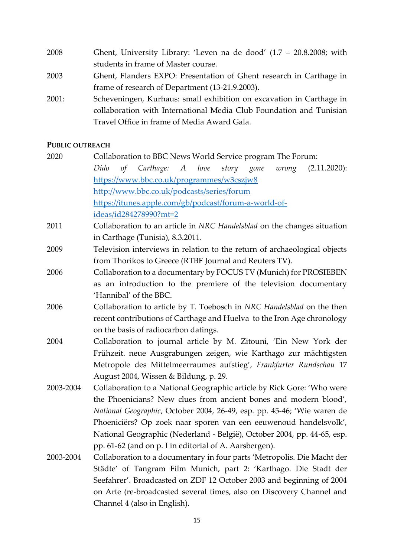- 2008 Ghent, University Library: 'Leven na de dood' (1.7 20.8.2008; with students in frame of Master course.
- 2003 Ghent, Flanders EXPO: Presentation of Ghent research in Carthage in frame of research of Department (13-21.9.2003).
- 2001: Scheveningen, Kurhaus: small exhibition on excavation in Carthage in collaboration with International Media Club Foundation and Tunisian Travel Office in frame of Media Award Gala.

#### **PUBLIC OUTREACH**

2020 Collaboration to BBC News World Service program The Forum: *Dido of Carthage: A love story gone wrong* (2.11.2020): <https://www.bbc.co.uk/programmes/w3cszjw8> <http://www.bbc.co.uk/podcasts/series/forum> [https://itunes.apple.com/gb/podcast/forum-a-world-of](https://itunes.apple.com/gb/podcast/forum-a-world-of-ideas/id284278990?mt=2)[ideas/id284278990?mt=2](https://itunes.apple.com/gb/podcast/forum-a-world-of-ideas/id284278990?mt=2) 2011 Collaboration to an article in *NRC Handelsblad* on the changes situation in Carthage (Tunisia), 8.3.2011. 2009 Television interviews in relation to the return of archaeological objects from Thorikos to Greece (RTBF Journal and Reuters TV). 2006 Collaboration to a documentary by FOCUS TV (Munich) for PROSIEBEN as an introduction to the premiere of the television documentary 'Hannibal' of the BBC. 2006 Collaboration to article by T. Toebosch in *NRC Handelsblad* on the then recent contributions of Carthage and Huelva to the Iron Age chronology on the basis of radiocarbon datings. 2004 Collaboration to journal article by M. Zitouni, 'Ein New York der Frühzeit. neue Ausgrabungen zeigen, wie Karthago zur mächtigsten Metropole des Mittelmeerraumes aufstieg', *Frankfurter Rundschau* 17 August 2004, Wissen & Bildung, p. 29. 2003-2004 Collaboration to a National Geographic article by Rick Gore: 'Who were the Phoenicians? New clues from ancient bones and modern blood', *National Geographic*, October 2004, 26-49, esp. pp. 45-46; 'Wie waren de Phoeniciërs? Op zoek naar sporen van een eeuwenoud handelsvolk', National Geographic (Nederland - België), October 2004, pp. 44-65, esp. pp. 61-62 (and on p. I in editorial of A. Aarsbergen). 2003-2004 Collaboration to a documentary in four parts 'Metropolis. Die Macht der Städte' of Tangram Film Munich, part 2: 'Karthago. Die Stadt der Seefahrer'. Broadcasted on ZDF 12 October 2003 and beginning of 2004 on Arte (re-broadcasted several times, also on Discovery Channel and

Channel 4 (also in English).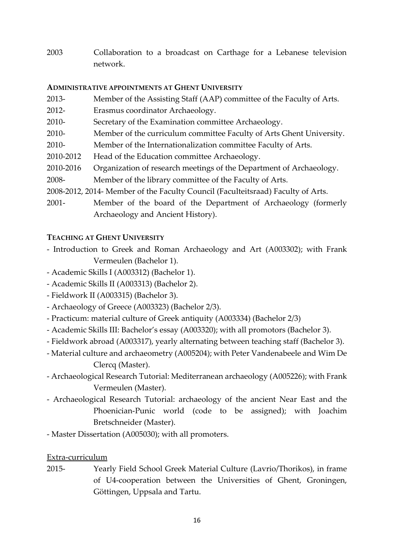2003 Collaboration to a broadcast on Carthage for a Lebanese television network.

### **ADMINISTRATIVE APPOINTMENTS AT GHENT UNIVERSITY**

2013- Member of the Assisting Staff (AAP) committee of the Faculty of Arts. 2012- Erasmus coordinator Archaeology. 2010- Secretary of the Examination committee Archaeology. 2010- Member of the curriculum committee Faculty of Arts Ghent University. 2010- Member of the Internationalization committee Faculty of Arts. 2010-2012 Head of the Education committee Archaeology. 2010-2016 Organization of research meetings of the Department of Archaeology. 2008- Member of the library committee of the Faculty of Arts. 2008-2012, 2014- Member of the Faculty Council (Faculteitsraad) Faculty of Arts. 2001- Member of the board of the Department of Archaeology (formerly Archaeology and Ancient History).

# **TEACHING AT GHENT UNIVERSITY**

- Introduction to Greek and Roman Archaeology and Art (A003302); with Frank Vermeulen (Bachelor 1).
- Academic Skills I (A003312) (Bachelor 1).
- Academic Skills II (A003313) (Bachelor 2).
- Fieldwork II (A003315) (Bachelor 3).
- Archaeology of Greece (A003323) (Bachelor 2/3).
- Practicum: material culture of Greek antiquity (A003334) (Bachelor 2/3)
- Academic Skills III: Bachelor's essay (A003320); with all promotors (Bachelor 3).
- Fieldwork abroad (A003317), yearly alternating between teaching staff (Bachelor 3).
- Material culture and archaeometry (A005204); with Peter Vandenabeele and Wim De Clercq (Master).
- Archaeological Research Tutorial: Mediterranean archaeology (A005226); with Frank Vermeulen (Master).
- Archaeological Research Tutorial: archaeology of the ancient Near East and the Phoenician-Punic world (code to be assigned); with Joachim Bretschneider (Master).
- Master Dissertation (A005030); with all promoters.

# Extra-curriculum

2015- Yearly Field School Greek Material Culture (Lavrio/Thorikos), in frame of U4-cooperation between the Universities of Ghent, Groningen, Göttingen, Uppsala and Tartu.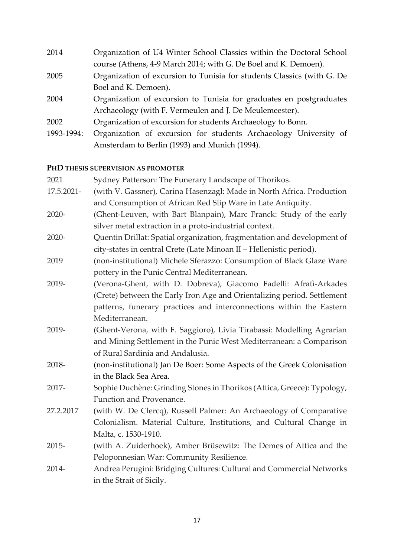| 2014       | Organization of U4 Winter School Classics within the Doctoral School   |
|------------|------------------------------------------------------------------------|
|            | course (Athens, 4-9 March 2014; with G. De Boel and K. Demoen).        |
| 2005       | Organization of excursion to Tunisia for students Classics (with G. De |
|            | Boel and K. Demoen).                                                   |
| 2004       | Organization of excursion to Tunisia for graduates en postgraduates    |
|            | Archaeology (with F. Vermeulen and J. De Meulemeester).                |
| 2002       | Organization of excursion for students Archaeology to Bonn.            |
| 1993-1994: | Organization of excursion for students Archaeology University of       |
|            | Amsterdam to Berlin (1993) and Munich (1994).                          |

#### **PHD THESIS SUPERVISION AS PROMOTER**

| 2021       | Sydney Patterson: The Funerary Landscape of Thorikos.                   |
|------------|-------------------------------------------------------------------------|
| 17.5.2021- | (with V. Gassner), Carina Hasenzagl: Made in North Africa. Production   |
|            | and Consumption of African Red Slip Ware in Late Antiquity.             |
| $2020 -$   | (Ghent-Leuven, with Bart Blanpain), Marc Franck: Study of the early     |
|            | silver metal extraction in a proto-industrial context.                  |
| $2020 -$   | Quentin Drillat: Spatial organization, fragmentation and development of |
|            | city-states in central Crete (Late Minoan II - Hellenistic period).     |
| 2019       | (non-institutional) Michele Sferazzo: Consumption of Black Glaze Ware   |
|            | pottery in the Punic Central Mediterranean.                             |
| 2019-      | (Verona-Ghent, with D. Dobreva), Giacomo Fadelli: Afrati-Arkades        |
|            | (Crete) between the Early Iron Age and Orientalizing period. Settlement |
|            | patterns, funerary practices and interconnections within the Eastern    |
|            | Mediterranean.                                                          |
| 2019-      | (Ghent-Verona, with F. Saggioro), Livia Tirabassi: Modelling Agrarian   |
|            | and Mining Settlement in the Punic West Mediterranean: a Comparison     |
|            | of Rural Sardinia and Andalusia.                                        |
| 2018-      | (non-institutional) Jan De Boer: Some Aspects of the Greek Colonisation |
|            | in the Black Sea Area.                                                  |
| 2017-      | Sophie Duchène: Grinding Stones in Thorikos (Attica, Greece): Typology, |
|            | Function and Provenance.                                                |
| 27.2.2017  | (with W. De Clercq), Russell Palmer: An Archaeology of Comparative      |
|            | Colonialism. Material Culture, Institutions, and Cultural Change in     |
|            | Malta, c. 1530-1910.                                                    |
| $2015 -$   | (with A. Zuiderhoek), Amber Brüsewitz: The Demes of Attica and the      |
|            | Peloponnesian War: Community Resilience.                                |
| 2014-      | Andrea Perugini: Bridging Cultures: Cultural and Commercial Networks    |
|            | in the Strait of Sicily.                                                |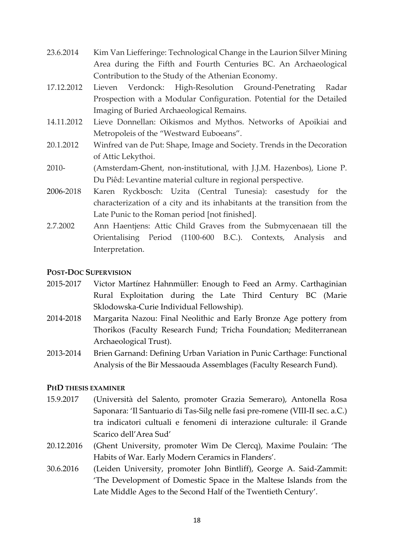- 23.6.2014 Kim Van Liefferinge: Technological Change in the Laurion Silver Mining Area during the Fifth and Fourth Centuries BC. An Archaeological Contribution to the Study of the Athenian Economy.
- 17.12.2012 Lieven Verdonck: High-Resolution Ground-Penetrating Radar Prospection with a Modular Configuration. Potential for the Detailed Imaging of Buried Archaeological Remains.
- 14.11.2012 Lieve Donnellan: Oikismos and Mythos. Networks of Apoikiai and Metropoleis of the "Westward Euboeans".
- 20.1.2012 Winfred van de Put: Shape, Image and Society. Trends in the Decoration of Attic Lekythoi.
- 2010- (Amsterdam-Ghent, non-institutional, with J.J.M. Hazenbos), Lione P. Du Piêd: Levantine material culture in regional perspective.
- 2006-2018 Karen Ryckbosch: Uzita (Central Tunesia): casestudy for the characterization of a city and its inhabitants at the transition from the Late Punic to the Roman period [not finished].
- 2.7.2002 Ann Haentjens: Attic Child Graves from the Submycenaean till the Orientalising Period (1100-600 B.C.). Contexts, Analysis and Interpretation.

# **POST-DOC SUPERVISION**

- 2015-2017 Victor Martínez Hahnmüller: Enough to Feed an Army. Carthaginian Rural Exploitation during the Late Third Century BC (Marie Sklodowska-Curie Individual Fellowship).
- 2014-2018 Margarita Nazou: Final Neolithic and Early Bronze Age pottery from Thorikos (Faculty Research Fund; Tricha Foundation; Mediterranean Archaeological Trust).
- 2013-2014 Brien Garnand: Defining Urban Variation in Punic Carthage: Functional Analysis of the Bir Messaouda Assemblages (Faculty Research Fund).

# **PHD THESIS EXAMINER**

- 15.9.2017 (Università del Salento, promoter Grazia Semeraro), Antonella Rosa Saponara: 'Il Santuario di Tas-Silg nelle fasi pre-romene (VIII-II sec. a.C.) tra indicatori cultuali e fenomeni di interazione culturale: il Grande Scarico dell'Area Sud'
- 20.12.2016 (Ghent University, promoter Wim De Clercq), Maxime Poulain: 'The Habits of War. Early Modern Ceramics in Flanders'.
- 30.6.2016 (Leiden University, promoter John Bintliff), George A. Said-Zammit: 'The Development of Domestic Space in the Maltese Islands from the Late Middle Ages to the Second Half of the Twentieth Century'.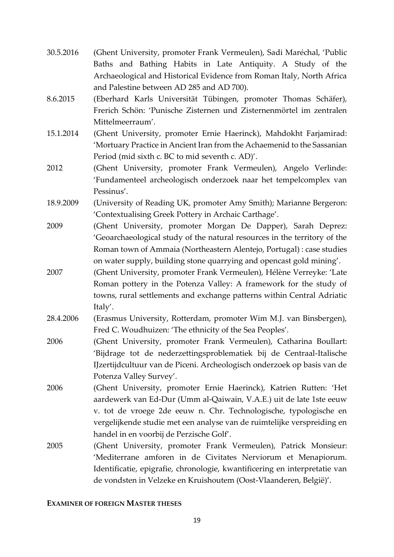- 30.5.2016 (Ghent University, promoter Frank Vermeulen), Sadi Maréchal, 'Public Baths and Bathing Habits in Late Antiquity. A Study of the Archaeological and Historical Evidence from Roman Italy, North Africa and Palestine between AD 285 and AD 700).
- 8.6.2015 (Eberhard Karls Universität Tübingen, promoter Thomas Schäfer), Frerich Schön: 'Punische Zisternen und Zisternenmörtel im zentralen Mittelmeerraum'.
- 15.1.2014 (Ghent University, promoter Ernie Haerinck), Mahdokht Farjamirad: 'Mortuary Practice in Ancient Iran from the Achaemenid to the Sassanian Period (mid sixth c. BC to mid seventh c. AD)'.
- 2012 (Ghent University, promoter Frank Vermeulen), Angelo Verlinde: 'Fundamenteel archeologisch onderzoek naar het tempelcomplex van Pessinus'.
- 18.9.2009 (University of Reading UK, promoter Amy Smith); Marianne Bergeron: 'Contextualising Greek Pottery in Archaic Carthage'.
- 2009 (Ghent University, promoter Morgan De Dapper), Sarah Deprez: 'Geoarchaeological study of the natural resources in the territory of the Roman town of Ammaia (Northeastern Alentejo, Portugal) : case studies on water supply, building stone quarrying and opencast gold mining'.
- 2007 (Ghent University, promoter Frank Vermeulen), Hélène Verreyke: 'Late Roman pottery in the Potenza Valley: A framework for the study of towns, rural settlements and exchange patterns within Central Adriatic Italy'.
- 28.4.2006 (Erasmus University, Rotterdam, promoter Wim M.J. van Binsbergen), Fred C. Woudhuizen: 'The ethnicity of the Sea Peoples'.
- 2006 (Ghent University, promoter Frank Vermeulen), Catharina Boullart: 'Bijdrage tot de nederzettingsproblematiek bij de Centraal-Italische IJzertijdcultuur van de Piceni. Archeologisch onderzoek op basis van de Potenza Valley Survey'.
- 2006 (Ghent University, promoter Ernie Haerinck), Katrien Rutten: 'Het aardewerk van Ed-Dur (Umm al-Qaiwain, V.A.E.) uit de late 1ste eeuw v. tot de vroege 2de eeuw n. Chr. Technologische, typologische en vergelijkende studie met een analyse van de ruimtelijke verspreiding en handel in en voorbij de Perzische Golf'.
- 2005 (Ghent University, promoter Frank Vermeulen), Patrick Monsieur: 'Mediterrane amforen in de Civitates Nerviorum et Menapiorum. Identificatie, epigrafie, chronologie, kwantificering en interpretatie van de vondsten in Velzeke en Kruishoutem (Oost-Vlaanderen, België)'.

**EXAMINER OF FOREIGN MASTER THESES**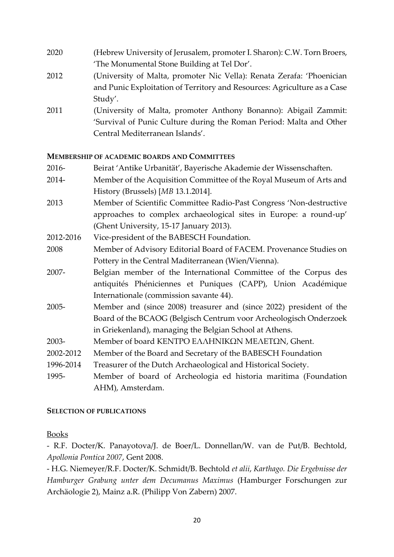- 2020 (Hebrew University of Jerusalem, promoter I. Sharon): C.W. Torn Broers, 'The Monumental Stone Building at Tel Dor'.
- 2012 (University of Malta, promoter Nic Vella): Renata Zerafa: 'Phoenician and Punic Exploitation of Territory and Resources: Agriculture as a Case Study'.
- 2011 (University of Malta, promoter Anthony Bonanno): Abigail Zammit: 'Survival of Punic Culture during the Roman Period: Malta and Other Central Mediterranean Islands'.

#### **MEMBERSHIP OF ACADEMIC BOARDS AND COMMITTEES**

- 2016- Beirat 'Antike Urbanität', Bayerische Akademie der Wissenschaften.
- 2014- Member of the Acquisition Committee of the Royal Museum of Arts and History (Brussels) [*MB* 13.1.2014].
- 2013 Member of Scientific Committee Radio-Past Congress 'Non-destructive approaches to complex archaeological sites in Europe: a round-up' (Ghent University, 15-17 January 2013).
- 2012-2016 Vice-president of the BABESCH Foundation.
- 2008 Member of Advisory Editorial Board of FACEM. Provenance Studies on Pottery in the Central Maditerranean (Wien/Vienna).
- 2007- Belgian member of the International Committee of the Corpus des antiquités Phéniciennes et Puniques (CAPP), Union Académique Internationale (commission savante 44).
- 2005- Member and (since 2008) treasurer and (since 2022) president of the Board of the BCAOG (Belgisch Centrum voor Archeologisch Onderzoek in Griekenland), managing the Belgian School at Athens.
- 2003- Member of board ΚΕΝΤΡΟ ΕΛΛΗΝΙΚΩΝ ΜΕΛΕΤΩΝ, Ghent.
- 2002-2012 Member of the Board and Secretary of the BABESCH Foundation
- 1996-2014 Treasurer of the Dutch Archaeological and Historical Society.
- 1995- Member of board of Archeologia ed historia maritima (Foundation AHM), Amsterdam.

#### **SELECTION OF PUBLICATIONS**

#### Books

- R.F. Docter/K. Panayotova/J. de Boer/L. Donnellan/W. van de Put/B. Bechtold, *Apollonia Pontica 2007*, Gent 2008.

- H.G. Niemeyer/R.F. Docter/K. Schmidt/B. Bechtold *et alii*, *Karthago. Die Ergebnisse der Hamburger Grabung unter dem Decumanus Maximus* (Hamburger Forschungen zur Archäologie 2), Mainz a.R. (Philipp Von Zabern) 2007.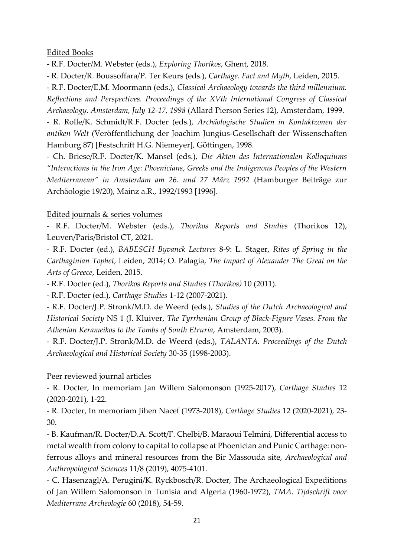Edited Books

- R.F. Docter/M. Webster (eds.), *Exploring Thorikos*, Ghent, 2018.

- R. Docter/R. Boussoffara/P. Ter Keurs (eds.), *Carthage. Fact and Myth*, Leiden, 2015.

- R.F. Docter/E.M. Moormann (eds.), *Classical Archaeology towards the third millennium. Reflections and Perspectives. Proceedings of the XVth International Congress of Classical Archaeology. Amsterdam, July 12-17, 1998* (Allard Pierson Series 12), Amsterdam, 1999.

- R. Rolle/K. Schmidt/R.F. Docter (eds.), *Archäologische Studien in Kontaktzonen der antiken Welt* (Veröffentlichung der Joachim Jungius-Gesellschaft der Wissenschaften Hamburg 87) [Festschrift H.G. Niemeyer], Göttingen, 1998.

- Ch. Briese/R.F. Docter/K. Mansel (eds.), *Die Akten des Internationalen Kolloquiums "Interactions in the Iron Age: Phoenicians, Greeks and the Indigenous Peoples of the Western Mediterranean" in Amsterdam am 26. und 27 März 1992* (Hamburger Beiträge zur Archäologie 19/20), Mainz a.R., 1992/1993 [1996].

# Edited journals & series volumes

- R.F. Docter/M. Webster (eds.), *Thorikos Reports and Studies* (Thorikos 12), Leuven/Paris/Bristol CT, 2021.

- R.F. Docter (ed.), *BABESCH Byvanck Lectures* 8-9: L. Stager, *Rites of Spring in the Carthaginian Tophet*, Leiden, 2014; O. Palagia, *The Impact of Alexander The Great on the Arts of Greece*, Leiden, 2015.

- R.F. Docter (ed.), *Thorikos Reports and Studies (Thorikos)* 10 (2011).

- R.F. Docter (ed.), *Carthage Studies* 1-12 (2007-2021).

- R.F. Docter/J.P. Stronk/M.D. de Weerd (eds.), *Studies of the Dutch Archaeological and Historical Society* NS 1 (J. Kluiver, *The Tyrrhenian Group of Black-Figure Vases. From the Athenian Kerameikos to the Tombs of South Etruria*, Amsterdam, 2003).

- R.F. Docter/J.P. Stronk/M.D. de Weerd (eds.), *TALANTA. Proceedings of the Dutch Archaeological and Historical Society* 30-35 (1998-2003).

# Peer reviewed journal articles

- R. Docter, In memoriam Jan Willem Salomonson (1925-2017), *Carthage Studies* 12 (2020-2021), 1-22.

- R. Docter, In memoriam Jihen Nacef (1973-2018), *Carthage Studies* 12 (2020-2021), 23- 30.

- B. Kaufman/R. Docter/D.A. Scott/F. Chelbi/B. Maraoui Telmini, Differential access to metal wealth from colony to capital to collapse at Phoenician and Punic Carthage: nonferrous alloys and mineral resources from the Bir Massouda site, *Archaeological and Anthropological Sciences* 11/8 (2019), 4075-4101.

- C. Hasenzagl/A. Perugini/K. Ryckbosch/R. Docter, The Archaeological Expeditions of Jan Willem Salomonson in Tunisia and Algeria (1960-1972), *TMA. Tijdschrift voor Mediterrane Archeologie* 60 (2018), 54-59.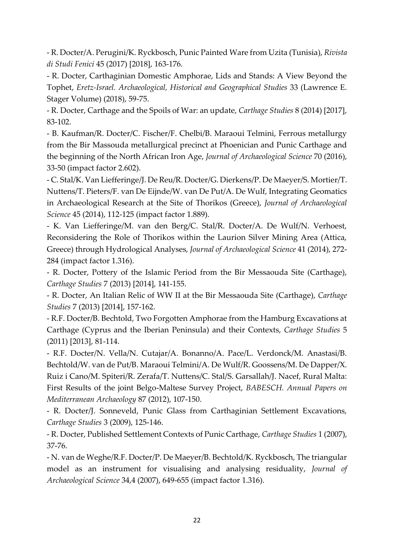- R. Docter/A. Perugini/K. Ryckbosch, Punic Painted Ware from Uzita (Tunisia), *Rivista di Studi Fenici* 45 (2017) [2018], 163-176.

- R. Docter, Carthaginian Domestic Amphorae, Lids and Stands: A View Beyond the Tophet, *Eretz-Israel. Archaeological, Historical and Geographical Studies* 33 (Lawrence E. Stager Volume) (2018), 59-75.

- R. Docter, Carthage and the Spoils of War: an update, *Carthage Studies* 8 (2014) [2017], 83-102.

- B. Kaufman/R. Docter/C. Fischer/F. Chelbi/B. Maraoui Telmini, Ferrous metallurgy from the Bir Massouda metallurgical precinct at Phoenician and Punic Carthage and the beginning of the North African Iron Age, *Journal of Archaeological Science* 70 (2016), 33-50 (impact factor 2.602).

- C. Stal/K. Van Liefferinge/J. De Reu/R. Docter/G. Dierkens/P. De Maeyer/S. Mortier/T. Nuttens/T. Pieters/F. van De Eijnde/W. van De Put/A. De Wulf, Integrating Geomatics in Archaeological Research at the Site of Thorikos (Greece), *Journal of Archaeological Science* 45 (2014), 112-125 (impact factor 1.889).

- K. Van Liefferinge/M. van den Berg/C. Stal/R. Docter/A. De Wulf/N. Verhoest, Reconsidering the Role of Thorikos within the Laurion Silver Mining Area (Attica, Greece) through Hydrological Analyses, *Journal of Archaeological Science* 41 (2014), 272- 284 (impact factor 1.316).

- R. Docter, Pottery of the Islamic Period from the Bir Messaouda Site (Carthage), *Carthage Studies* 7 (2013) [2014], 141-155.

- R. Docter, An Italian Relic of WW II at the Bir Messaouda Site (Carthage), *Carthage Studies* 7 (2013) [2014], 157-162.

- R.F. Docter/B. Bechtold, Two Forgotten Amphorae from the Hamburg Excavations at Carthage (Cyprus and the Iberian Peninsula) and their Contexts, *Carthage Studies* 5 (2011) [2013], 81-114.

- R.F. Docter/N. Vella/N. Cutajar/A. Bonanno/A. Pace/L. Verdonck/M. Anastasi/B. Bechtold/W. van de Put/B. Maraoui Telmini/A. De Wulf/R. Goossens/M. De Dapper/X. Ruiz i Cano/M. Spiteri/R. Zerafa/T. Nuttens/C. Stal/S. Garsallah/J. Nacef, Rural Malta: First Results of the joint Belgo-Maltese Survey Project, *BABESCH. Annual Papers on Mediterranean Archaeology* 87 (2012), 107-150.

- R. Docter/J. Sonneveld, Punic Glass from Carthaginian Settlement Excavations, *Carthage Studies* 3 (2009), 125-146.

- R. Docter, Published Settlement Contexts of Punic Carthage, *Carthage Studies* 1 (2007), 37-76.

- N. van de Weghe/R.F. Docter/P. De Maeyer/B. Bechtold/K. Ryckbosch, The triangular model as an instrument for visualising and analysing residuality, *Journal of Archaeological Science* 34,4 (2007), 649-655 (impact factor 1.316).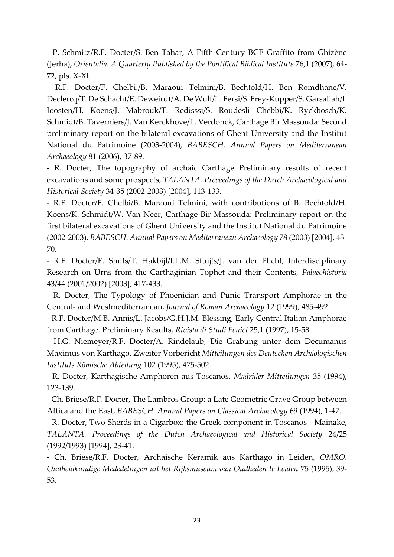- P. Schmitz/R.F. Docter/S. Ben Tahar, A Fifth Century BCE Graffito from Ghizène (Jerba), *Orientalia. A Quarterly Published by the Pontifical Biblical Institute* 76,1 (2007), 64- 72, pls. X-XI.

- R.F. Docter/F. Chelbi./B. Maraoui Telmini/B. Bechtold/H. Ben Romdhane/V. Declercq/T. De Schacht/E. Deweirdt/A. De Wulf/L. Fersi/S. Frey-Kupper/S. Garsallah/I. Joosten/H. Koens/J. Mabrouk/T. Redisssi/S. Roudesli Chebbi/K. Ryckbosch/K. Schmidt/B. Taverniers/J. Van Kerckhove/L. Verdonck, Carthage Bir Massouda: Second preliminary report on the bilateral excavations of Ghent University and the Institut National du Patrimoine (2003-2004), *BABESCH. Annual Papers on Mediterranean Archaeology* 81 (2006), 37-89.

- R. Docter, The topography of archaic Carthage Preliminary results of recent excavations and some prospects, *TALANTA. Proceedings of the Dutch Archaeological and Historical Society* 34-35 (2002-2003) [2004], 113-133.

- R.F. Docter/F. Chelbi/B. Maraoui Telmini, with contributions of B. Bechtold/H. Koens/K. Schmidt/W. Van Neer, Carthage Bir Massouda: Preliminary report on the first bilateral excavations of Ghent University and the Institut National du Patrimoine (2002-2003), *BABESCH. Annual Papers on Mediterranean Archaeology* 78 (2003) [2004], 43- 70.

- R.F. Docter/E. Smits/T. Hakbijl/I.L.M. Stuijts/J. van der Plicht, Interdisciplinary Research on Urns from the Carthaginian Tophet and their Contents, *Palaeohistoria* 43/44 (2001/2002) [2003], 417-433.

- R. Docter, The Typology of Phoenician and Punic Transport Amphorae in the Central- and Westmediterranean, *Journal of Roman Archaeology* 12 (1999), 485-492

- R.F. Docter/M.B. Annis/L. Jacobs/G.H.J.M. Blessing, Early Central Italian Amphorae from Carthage. Preliminary Results, *Rivista di Studi Fenici* 25,1 (1997), 15-58.

- H.G. Niemeyer/R.F. Docter/A. Rindelaub, Die Grabung unter dem Decumanus Maximus von Karthago. Zweiter Vorbericht *Mitteilungen des Deutschen Archäologischen Instituts Römische Abteilung* 102 (1995), 475-502.

- R. Docter, Karthagische Amphoren aus Toscanos, *Madrider Mitteilungen* 35 (1994), 123-139.

- Ch. Briese/R.F. Docter, The Lambros Group: a Late Geometric Grave Group between Attica and the East, *BABESCH. Annual Papers on Classical Archaeology* 69 (1994), 1-47.

- R. Docter, Two Sherds in a Cigarbox: the Greek component in Toscanos - Mainake, *TALANTA. Proceedings of the Dutch Archaeological and Historical Society* 24/25 (1992/1993) [1994], 23-41.

- Ch. Briese/R.F. Docter, Archaische Keramik aus Karthago in Leiden, *OMRO. Oudheidkundige Mededelingen uit het Rijksmuseum van Oudheden te Leiden* 75 (1995), 39- 53.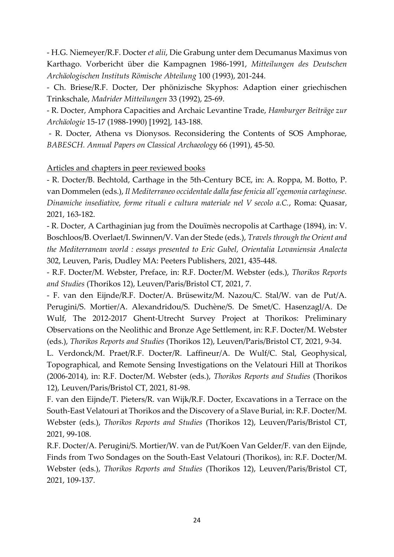- H.G. Niemeyer/R.F. Docter *et alii*, Die Grabung unter dem Decumanus Maximus von Karthago. Vorbericht über die Kampagnen 1986-1991, *Mitteilungen des Deutschen Archäologischen Instituts Römische Abteilung* 100 (1993), 201-244.

- Ch. Briese/R.F. Docter, Der phönizische Skyphos: Adaption einer griechischen Trinkschale, *Madrider Mitteilungen* 33 (1992), 25-69.

- R. Docter, Amphora Capacities and Archaic Levantine Trade, *Hamburger Beiträge zur Archäologie* 15-17 (1988-1990) [1992], 143-188.

- R. Docter, Athena vs Dionysos. Reconsidering the Contents of SOS Amphorae, *BABESCH. Annual Papers on Classical Archaeology* 66 (1991), 45-50.

### Articles and chapters in peer reviewed books

- R. Docter/B. Bechtold, Carthage in the 5th-Century BCE, in: A. Roppa, M. Botto, P. van Dommelen (eds.), *Il Mediterraneo occidentale dalla fase fenicia all'egemonia cartaginese. Dinamiche insediative, forme rituali e cultura materiale nel V secolo a.C.*, Roma: Quasar, 2021, 163-182.

- R. Docter, A Carthaginian jug from the Douïmès necropolis at Carthage (1894), in: V. Boschloos/B. Overlaet/I. Swinnen/V. Van der Stede (eds.), *Travels through the Orient and the Mediterranean world : essays presented to Eric Gubel, Orientalia Lovaniensia Analecta* 302, Leuven, Paris, Dudley MA: Peeters Publishers, 2021, 435-448.

- R.F. Docter/M. Webster, Preface, in: R.F. Docter/M. Webster (eds.), *Thorikos Reports and Studies* (Thorikos 12), Leuven/Paris/Bristol CT, 2021, 7.

- F. van den Eijnde/R.F. Docter/A. Brüsewitz/M. Nazou/C. Stal/W. van de Put/A. Perugini/S. Mortier/A. Alexandridou/S. Duchène/S. De Smet/C. Hasenzagl/A. De Wulf, The 2012-2017 Ghent-Utrecht Survey Project at Thorikos: Preliminary Observations on the Neolithic and Bronze Age Settlement, in: R.F. Docter/M. Webster (eds.), *Thorikos Reports and Studies* (Thorikos 12), Leuven/Paris/Bristol CT, 2021, 9-34.

L. Verdonck/M. Praet/R.F. Docter/R. Laffineur/A. De Wulf/C. Stal, Geophysical, Topographical, and Remote Sensing Investigations on the Velatouri Hill at Thorikos (2006-2014), in: R.F. Docter/M. Webster (eds.), *Thorikos Reports and Studies* (Thorikos 12), Leuven/Paris/Bristol CT, 2021, 81-98.

F. van den Eijnde/T. Pieters/R. van Wijk/R.F. Docter, Excavations in a Terrace on the South-East Velatouri at Thorikos and the Discovery of a Slave Burial, in: R.F. Docter/M. Webster (eds.), *Thorikos Reports and Studies* (Thorikos 12), Leuven/Paris/Bristol CT, 2021, 99-108.

R.F. Docter/A. Perugini/S. Mortier/W. van de Put/Koen Van Gelder/F. van den Eijnde, Finds from Two Sondages on the South-East Velatouri (Thorikos), in: R.F. Docter/M. Webster (eds.), *Thorikos Reports and Studies* (Thorikos 12), Leuven/Paris/Bristol CT, 2021, 109-137.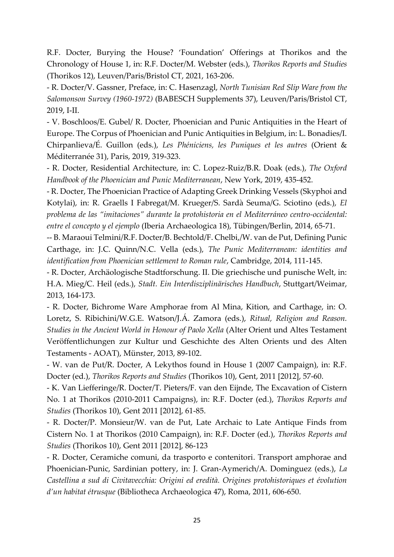R.F. Docter, Burying the House? 'Foundation' Offerings at Thorikos and the Chronology of House 1, in: R.F. Docter/M. Webster (eds.), *Thorikos Reports and Studies* (Thorikos 12), Leuven/Paris/Bristol CT, 2021, 163-206.

- R. Docter/V. Gassner, Preface, in: C. Hasenzagl, *North Tunisian Red Slip Ware from the Salomonson Survey (1960-1972)* (BABESCH Supplements 37), Leuven/Paris/Bristol CT, 2019, I-II.

- V. Boschloos/E. Gubel/ R. Docter, Phoenician and Punic Antiquities in the Heart of Europe. The Corpus of Phoenician and Punic Antiquities in Belgium, in: L. Bonadies/I. Chirpanlieva/É. Guillon (eds.), *Les Phéniciens, les Puniques et les autres* (Orient & Méditerranée 31), Paris, 2019, 319-323.

- R. Docter, Residential Architecture, in: C. Lopez-Ruiz/B.R. Doak (eds.), *The Oxford Handbook of the Phoenician and Punic Mediterranean*, New York, 2019, 435-452.

- R. Docter, The Phoenician Practice of Adapting Greek Drinking Vessels (Skyphoi and Kotylai), in: R. Graells I Fabregat/M. Krueger/S. Sardà Seuma/G. Sciotino (eds.), *El problema de las "imitaciones" durante la protohistoria en el Mediterráneo centro-occidental: entre el concepto y el ejemplo* (Iberia Archaeologica 18), Tübingen/Berlin, 2014, 65-71.

-- B. Maraoui Telmini/R.F. Docter/B. Bechtold/F. Chelbi,/W. van de Put, Defining Punic Carthage, in: J.C. Quinn/N.C. Vella (eds.), *The Punic Mediterranean: identities and identification from Phoenician settlement to Roman rule*, Cambridge, 2014, 111-145.

- R. Docter, Archäologische Stadtforschung. II. Die griechische und punische Welt, in: H.A. Mieg/C. Heil (eds.), *Stadt. Ein Interdisziplinärisches Handbuch*, Stuttgart/Weimar, 2013, 164-173.

- R. Docter, Bichrome Ware Amphorae from Al Mina, Kition, and Carthage, in: O. Loretz, S. Ribichini/W.G.E. Watson/J.Á. Zamora (eds.), *Ritual, Religion and Reason. Studies in the Ancient World in Honour of Paolo Xella* (Alter Orient und Altes Testament Veröffentlichungen zur Kultur und Geschichte des Alten Orients und des Alten Testaments - AOAT), Münster, 2013, 89-102.

- W. van de Put/R. Docter, A Lekythos found in House 1 (2007 Campaign), in: R.F. Docter (ed.), *Thorikos Reports and Studies* (Thorikos 10), Gent, 2011 [2012], 57-60.

- K. Van Liefferinge/R. Docter/T. Pieters/F. van den Eijnde, The Excavation of Cistern No. 1 at Thorikos (2010-2011 Campaigns), in: R.F. Docter (ed.), *Thorikos Reports and Studies* (Thorikos 10), Gent 2011 [2012], 61-85.

- R. Docter/P. Monsieur/W. van de Put, Late Archaic to Late Antique Finds from Cistern No. 1 at Thorikos (2010 Campaign), in: R.F. Docter (ed.), *Thorikos Reports and Studies* (Thorikos 10), Gent 2011 [2012], 86-123

- R. Docter, Ceramiche comuni, da trasporto e contenitori. Transport amphorae and Phoenician-Punic, Sardinian pottery, in: J. Gran-Aymerich/A. Dominguez (eds.), *La Castellina a sud di Civitavecchia: Origini ed eredità. Origines protohistoriques et évolution d'un habitat étrusque* (Bibliotheca Archaeologica 47), Roma, 2011, 606-650.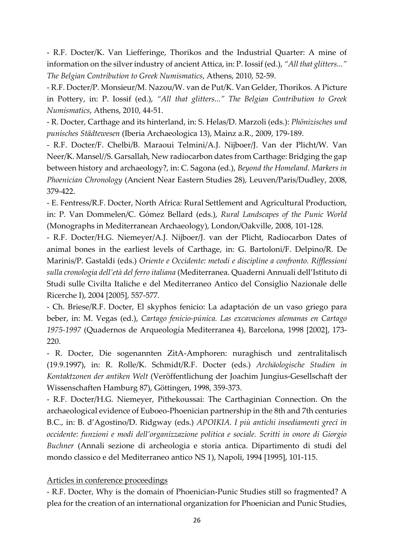- R.F. Docter/K. Van Liefferinge, Thorikos and the Industrial Quarter: A mine of information on the silver industry of ancient Attica, in: P. Iossif (ed.), *"All that glitters..." The Belgian Contribution to Greek Numismatics*, Athens, 2010, 52-59.

- R.F. Docter/P. Monsieur/M. Nazou/W. van de Put/K. Van Gelder, Thorikos. A Picture in Pottery, in: P. Iossif (ed.), *"All that glitters..." The Belgian Contribution to Greek Numismatics*, Athens, 2010, 44-51.

- R. Docter, Carthage and its hinterland, in: S. Helas/D. Marzoli (eds.): *Phönizisches und punisches Städtewesen* (Iberia Archaeologica 13), Mainz a.R., 2009, 179-189.

- R.F. Docter/F. Chelbi/B. Maraoui Telmini/A.J. Nijboer/J. Van der Plicht/W. Van Neer/K. Mansel//S. Garsallah, New radiocarbon dates from Carthage: Bridging the gap between history and archaeology?, in: C. Sagona (ed.), *Beyond the Homeland. Markers in Phoenician Chronology* (Ancient Near Eastern Studies 28), Leuven/Paris/Dudley, 2008, 379-422.

- E. Fentress/R.F. Docter, North Africa: Rural Settlement and Agricultural Production, in: P. Van Dommelen/C. Gómez Bellard (eds.), *Rural Landscapes of the Punic World* (Monographs in Mediterranean Archaeology), London/Oakville, 2008, 101-128.

- R.F. Docter/H.G. Niemeyer/A.J. Nijboer/J. van der Plicht, Radiocarbon Dates of animal bones in the earliest levels of Carthage, in: G. Bartoloni/F. Delpino/R. De Marinis/P. Gastaldi (eds.) *Oriente e Occidente: metodi e discipline a confronto. Rifflessioni sulla cronologia dell'età del ferro italiana* (Mediterranea. Quaderni Annuali dell'Istituto di Studi sulle Civilta Italiche e del Mediterraneo Antico del Consiglio Nazionale delle Ricerche I), 2004 [2005], 557-577.

- Ch. Briese/R.F. Docter, El skyphos fenicio: La adaptación de un vaso griego para beber, in: M. Vegas (ed.), *Cartago fenicio-púnica. Las excavaciones alemanas en Cartago 1975-1997* (Quadernos de Arqueología Mediterranea 4), Barcelona, 1998 [2002], 173- 220.

- R. Docter, Die sogenannten ZitA-Amphoren: nuraghisch und zentralitalisch (19.9.1997), in: R. Rolle/K. Schmidt/R.F. Docter (eds.) *Archäologische Studien in Kontaktzonen der antiken Welt* (Veröffentlichung der Joachim Jungius-Gesellschaft der Wissenschaften Hamburg 87), Göttingen, 1998, 359-373.

- R.F. Docter/H.G. Niemeyer, Pithekoussai: The Carthaginian Connection. On the archaeological evidence of Euboeo-Phoenician partnership in the 8th and 7th centuries B.C., in: B. d'Agostino/D. Ridgway (eds.) *APOIKIA. I più antichi insediamenti greci in occidente: funzioni e modi dell'organizzazione politica e sociale. Scritti in onore di Giorgio Buchner* (Annali sezione di archeologia e storia antica. Dipartimento di studi del mondo classico e del Mediterraneo antico NS 1), Napoli, 1994 [1995], 101-115.

# Articles in conference proceedings

- R.F. Docter, Why is the domain of Phoenician-Punic Studies still so fragmented? A plea for the creation of an international organization for Phoenician and Punic Studies,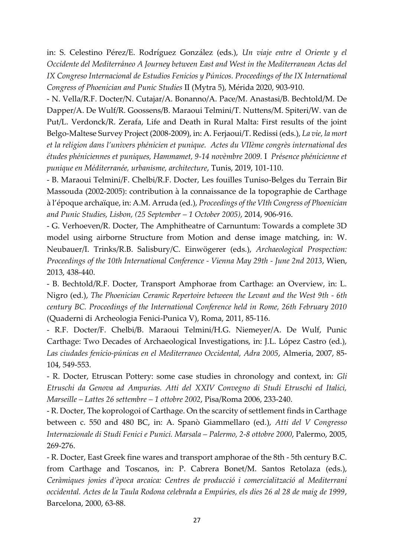in: S. Celestino Pérez/E. Rodríguez González (eds.), *Un viaje entre el Oriente y el Occidente del Mediterráneo A Journey between East and West in the Mediterranean Actas del IX Congreso Internacional de Estudios Fenicios y Púnicos. Proceedings of the IX International Congress of Phoenician and Punic Studies* II (Mytra 5), Mérida 2020, 903-910.

- N. Vella/R.F. Docter/N. Cutajar/A. Bonanno/A. Pace/M. Anastasi/B. Bechtold/M. De Dapper/A. De Wulf/R. Goossens/B. Maraoui Telmini/T. Nuttens/M. Spiteri/W. van de Put/L. Verdonck/R. Zerafa, Life and Death in Rural Malta: First results of the joint Belgo-Maltese Survey Project (2008-2009), in: A. Ferjaoui/T. Redissi (eds.), *La vie, la mort et la religion dans l'univers phénicien et punique. Actes du VIIème congrès international des études phéniciennes et puniques, Hammamet, 9-14 novèmbre 2009.* I *Présence phénicienne et punique en Méditerranée, urbanisme, architecture*, Tunis, 2019, 101-110.

- B. Maraoui Telmini/F. Chelbi/R.F. Docter, Les fouilles Tuniso-Belges du Terrain Bir Massouda (2002-2005): contribution à la connaissance de la topographie de Carthage à l'époque archaïque, in: A.M. Arruda (ed.), *Proceedings of the VIth Congress of Phoenician and Punic Studies, Lisbon, (25 September – 1 October 2005)*, 2014, 906-916.

- G. Verhoeven/R. Docter, The Amphitheatre of Carnuntum: Towards a complete 3D model using airborne Structure from Motion and dense image matching, in: W. Neubauer/I. Trinks/R.B. Salisbury/C. Einwögerer (eds.), *Archaeological Prospection: Proceedings of the 10th International Conference - Vienna May 29th - June 2nd 2013*, Wien, 2013, 438-440.

- B. Bechtold/R.F. Docter, Transport Amphorae from Carthage: an Overview, in: L. Nigro (ed.), *The Phoenician Ceramic Repertoire between the Levant and the West 9th - 6th century BC. Proceedings of the International Conference held in Rome, 26th February 2010* (Quaderni di Archeologia Fenici-Punica V), Roma, 2011, 85-116.

- R.F. Docter/F. Chelbi/B. Maraoui Telmini/H.G. Niemeyer/A. De Wulf, Punic Carthage: Two Decades of Archaeological Investigations, in: J.L. López Castro (ed.), *Las ciudades fenicio-púnicas en el Mediterraneo Occidental, Adra 2005*, Almeria, 2007, 85- 104, 549-553.

- R. Docter, Etruscan Pottery: some case studies in chronology and context, in: *Gli Etruschi da Genova ad Ampurias. Atti del XXIV Convegno di Studi Etruschi ed Italici, Marseille – Lattes 26 settembre – 1 ottobre 2002*, Pisa/Roma 2006, 233-240.

- R. Docter, The koprologoi of Carthage. On the scarcity of settlement finds in Carthage between c. 550 and 480 BC, in: A. Spanò Giammellaro (ed.), *Atti del V Congresso Internazionale di Studi Fenici e Punici. Marsala – Palermo, 2-8 ottobre 2000*, Palermo, 2005, 269-276.

- R. Docter, East Greek fine wares and transport amphorae of the 8th - 5th century B.C. from Carthage and Toscanos, in: P. Cabrera Bonet/M. Santos Retolaza (eds.), *Ceràmiques jonies d'època arcaica: Centres de producció i comercialització al Mediterrani occidental. Actes de la Taula Rodona celebrada a Empúries, els dies 26 al 28 de maig de 1999*, Barcelona, 2000, 63-88.